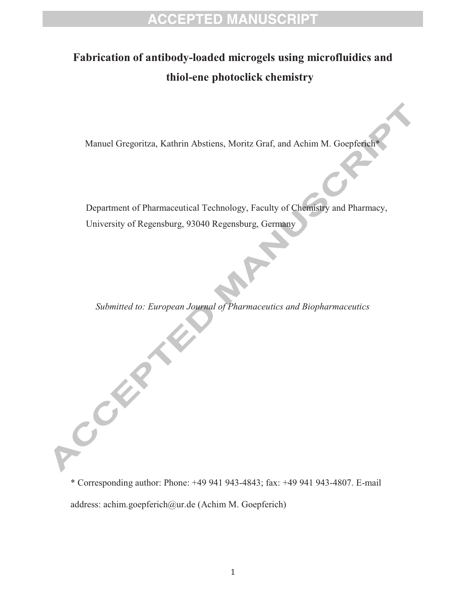# **ACCEPTED MANUSCRIPT**

## **Fabrication of antibody-loaded microgels using microfluidics and thiol-ene photoclick chemistry**

Manuel Gregoritza, Kathrin Abstiens, Moritz Graf, and Achim M. Goepferich\*

Department of Pharmaceutical Technology, Faculty of Chemistry and Pharmacy, University of Regensburg, 93040 Regensburg, Germany

*Submitted to: European Journal of Pharmaceutics and Biopharmaceutics* 

\* Corresponding author: Phone: +49 941 943-4843; fax: +49 941 943-4807. E-mail address: achim.goepferich@ur.de (Achim M. Goepferich)

Company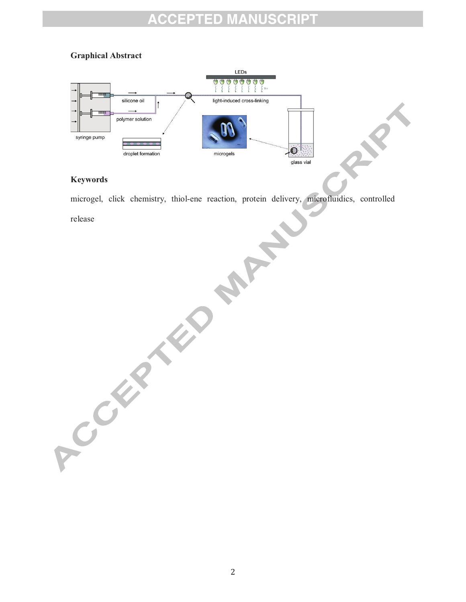### **ACCEPTED MANUSCRIPT**

### **Graphical Abstract**



#### **Keywords**

microgel, click chemistry, thiol-ene reaction, protein delivery, microfluidics, controlled Religions of the Property